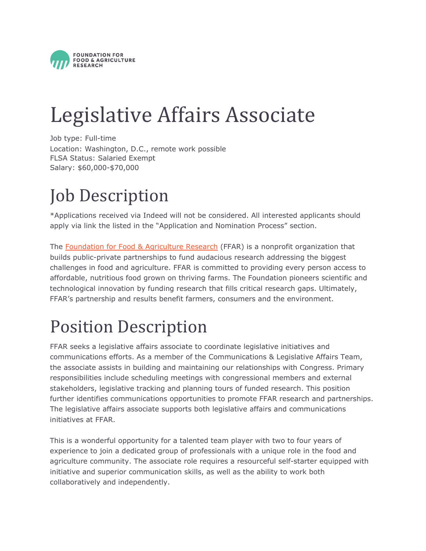

# Legislative Affairs Associate

Job type: Full-time Location: Washington, D.C., remote work possible FLSA Status: Salaried Exempt Salary: \$60,000-\$70,000

# Job Description

\*Applications received via Indeed will not be considered. All interested applicants should apply via link the listed in the "Application and Nomination Process" section.

The [Foundation for Food & Agriculture Research](https://foundationfar.org/) (FFAR) is a nonprofit organization that builds public-private partnerships to fund audacious research addressing the biggest challenges in food and agriculture. FFAR is committed to providing every person access to affordable, nutritious food grown on thriving farms. The Foundation pioneers scientific and technological innovation by funding research that fills critical research gaps. Ultimately, FFAR's partnership and results benefit farmers, consumers and the environment.

## Position Description

FFAR seeks a legislative affairs associate to coordinate legislative initiatives and communications efforts. As a member of the Communications & Legislative Affairs Team, the associate assists in building and maintaining our relationships with Congress. Primary responsibilities include scheduling meetings with congressional members and external stakeholders, legislative tracking and planning tours of funded research. This position further identifies communications opportunities to promote FFAR research and partnerships. The legislative affairs associate supports both legislative affairs and communications initiatives at FFAR.

This is a wonderful opportunity for a talented team player with two to four years of experience to join a dedicated group of professionals with a unique role in the food and agriculture community. The associate role requires a resourceful self-starter equipped with initiative and superior communication skills, as well as the ability to work both collaboratively and independently.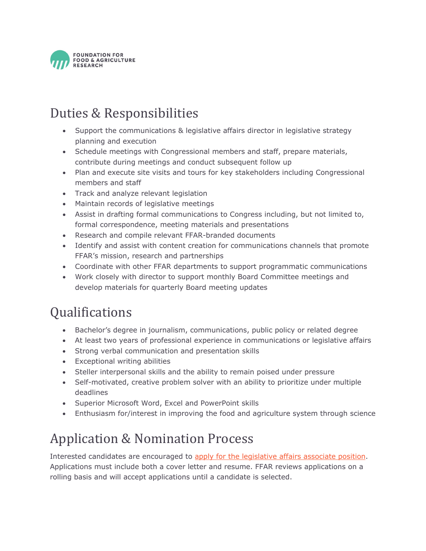

#### Duties & Responsibilities

- Support the communications & legislative affairs director in legislative strategy planning and execution
- Schedule meetings with Congressional members and staff, prepare materials, contribute during meetings and conduct subsequent follow up
- Plan and execute site visits and tours for key stakeholders including Congressional members and staff
- Track and analyze relevant legislation
- Maintain records of legislative meetings
- Assist in drafting formal communications to Congress including, but not limited to, formal correspondence, meeting materials and presentations
- Research and compile relevant FFAR-branded documents
- Identify and assist with content creation for communications channels that promote FFAR's mission, research and partnerships
- Coordinate with other FFAR departments to support programmatic communications
- Work closely with director to support monthly Board Committee meetings and develop materials for quarterly Board meeting updates

#### Qualifications

- Bachelor's degree in journalism, communications, public policy or related degree
- At least two years of professional experience in communications or legislative affairs
- Strong verbal communication and presentation skills
- Exceptional writing abilities
- Steller interpersonal skills and the ability to remain poised under pressure
- Self-motivated, creative problem solver with an ability to prioritize under multiple deadlines
- Superior Microsoft Word, Excel and PowerPoint skills
- Enthusiasm for/interest in improving the food and agriculture system through science

#### Application & Nomination Process

Interested candidates are encouraged to [apply for the legislative affairs associate position.](https://jobs.smartrecruiters.com/FoundationForFoodAgriculture/743999828587208-legislative-affairs-associate) Applications must include both a cover letter and resume. FFAR reviews applications on a rolling basis and will accept applications until a candidate is selected.